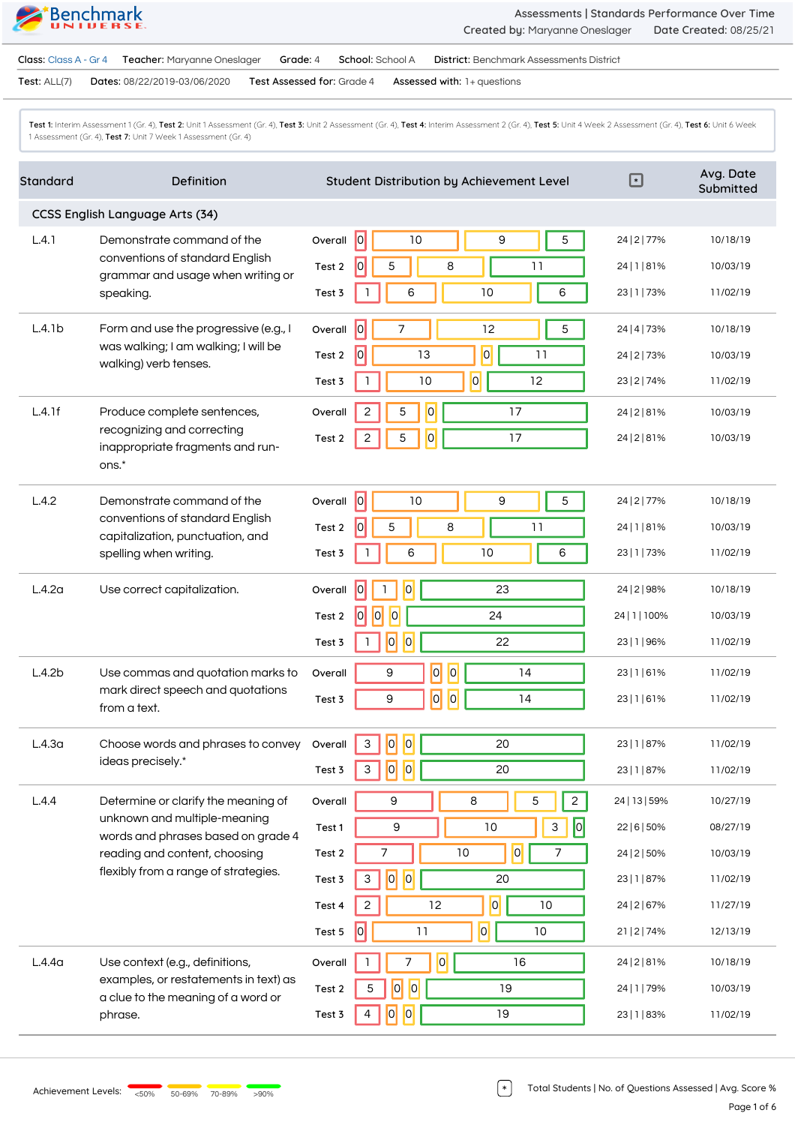**Assessments | Standards Performance Over Time Created by:** Maryanne Oneslager **Date Created:** 08/25/21

**Class:** Class A - Gr 4 **Teacher:** Maryanne Oneslager **Grade:** 4 **School:** School A **District:** Benchmark Assessments District

**Test:** ALL(7) **Dates:** 08/22/2019-03/06/2020 **Test Assessed for:** Grade 4 **Assessed with:** 1+ questions

Test 1: Interim Assessment 1 (Gr. 4), Test 2: Unit 1 Assessment (Gr. 4), Test 3: Unit 2 Assessment (Gr. 4), Test 4: Interim Assessment 2 (Gr. 4), Test 5: Unit 4 Week 2 Assessment (Gr. 4), Test 6: Unit 6 Week 1 Assessment (Gr. 4), **Test 7:** Unit 7 Week 1 Assessment (Gr. 4)

| Standard                        | Definition                                                                                                                                                                         | Student Distribution by Achievement Level                | $\overline{\mathbb{F}}$ | Avg. Date<br>Submitted |  |  |
|---------------------------------|------------------------------------------------------------------------------------------------------------------------------------------------------------------------------------|----------------------------------------------------------|-------------------------|------------------------|--|--|
| CCSS English Language Arts (34) |                                                                                                                                                                                    |                                                          |                         |                        |  |  |
| L.4.1                           | Demonstrate command of the<br>conventions of standard English<br>grammar and usage when writing or<br>speaking.                                                                    | 0 <br>10<br>9<br>5<br>Overall                            | 24   2   77%            | 10/18/19               |  |  |
|                                 |                                                                                                                                                                                    | $\overline{0}$<br>5<br>8<br>11<br>Test 2                 | 24   1   81%            | 10/03/19               |  |  |
|                                 |                                                                                                                                                                                    | 6<br>10<br>6<br>Test 3                                   | 23   1   73%            | 11/02/19               |  |  |
| L.4.1b                          | Form and use the progressive (e.g., I<br>was walking; I am walking; I will be<br>walking) verb tenses.                                                                             | $\overline{0}$<br>7<br>12<br>5<br>Overall                | 24   4   73%            | 10/18/19               |  |  |
|                                 |                                                                                                                                                                                    | $\overline{0}$<br> 0 <br>13<br>11<br>Test 2              | 24   2   73%            | 10/03/19               |  |  |
|                                 |                                                                                                                                                                                    | $\overline{0}$<br>1<br>10<br>12<br>Test 3                | 23   2   74%            | 11/02/19               |  |  |
| L.4.1f                          | Produce complete sentences,<br>recognizing and correcting<br>inappropriate fragments and run-                                                                                      | $\overline{0}$<br>$\sqrt{2}$<br>5<br>17<br>Overall       | 24   2   8 1%           | 10/03/19               |  |  |
|                                 |                                                                                                                                                                                    | $\overline{0}$<br>$\overline{c}$<br>5<br>17<br>Test 2    | 24   2   8 1%           | 10/03/19               |  |  |
|                                 | ons.*                                                                                                                                                                              |                                                          |                         |                        |  |  |
| L.4.2                           | Demonstrate command of the<br>conventions of standard English<br>capitalization, punctuation, and<br>spelling when writing.                                                        | 0 <br>10<br>5<br>9<br>Overall                            | 24   2   77%            | 10/18/19               |  |  |
|                                 |                                                                                                                                                                                    | 0 <br>5<br>11<br>8<br>Test 2                             | 24   1   81%            | 10/03/19               |  |  |
|                                 |                                                                                                                                                                                    | 6<br>10<br>6<br>Test 3                                   | 23   1   73%            | 11/02/19               |  |  |
| L.4.2a                          | Use correct capitalization.                                                                                                                                                        | 0 <br> 0 <br>23<br>Overall<br>1                          | 24   2   98%            | 10/18/19               |  |  |
|                                 |                                                                                                                                                                                    | $\overline{10}$<br>$\overline{0}$<br> 0 <br>24<br>Test 2 | 24   1   100%           | 10/03/19               |  |  |
|                                 |                                                                                                                                                                                    | $\overline{0}$<br> 0 <br>22<br>Test 3                    | 23   1   96%            | 11/02/19               |  |  |
| L.4.2b                          | Use commas and quotation marks to<br>mark direct speech and quotations<br>from a text.                                                                                             | $ \overline{o} $<br> 0 <br>9<br>14<br>Overall            | 23   1   61%            | 11/02/19               |  |  |
|                                 |                                                                                                                                                                                    | $ \overline{\mathsf{o}} $<br> 0 <br>9<br>14<br>Test 3    | 23   1   61%            | 11/02/19               |  |  |
| L.4.3 <sub>a</sub>              | Choose words and phrases to convey<br>ideas precisely.*                                                                                                                            | 0 <br> 0 <br>$\mathsf{3}$<br>20<br>Overall               | 23   1   87%            | 11/02/19               |  |  |
|                                 |                                                                                                                                                                                    | $\overline{0}$<br> 0 <br>20<br>$\mathbf{3}$<br>Test 3    | 23   1   87%            | 11/02/19               |  |  |
| L.4.4                           | Determine or clarify the meaning of<br>unknown and multiple-meaning<br>words and phrases based on grade 4<br>reading and content, choosing<br>flexibly from a range of strategies. | $\,8\,$<br>9<br>5<br>$\overline{c}$<br>Overall           | 24   13   59%           | 10/27/19               |  |  |
|                                 |                                                                                                                                                                                    | 0 <br>$\mathsf 9$<br>3<br>10<br>Test 1                   | 22   6   50%            | 08/27/19               |  |  |
|                                 |                                                                                                                                                                                    | $ \mathsf{o} $<br>7<br>7<br>10<br>Test 2                 | 24   2   50%            | 10/03/19               |  |  |
|                                 |                                                                                                                                                                                    | $\overline{a}$<br> 0 <br>20<br>3<br>Test 3               | 23   1   87%            | 11/02/19               |  |  |
|                                 |                                                                                                                                                                                    | 0 <br>$\overline{c}$<br>12<br>10<br>Test 4               | 24   2   67%            | 11/27/19               |  |  |
|                                 |                                                                                                                                                                                    | 0 <br> 0 <br>$10$<br>11<br>Test 5                        | 21   2   74%            | 12/13/19               |  |  |
| L.4.4 <sub>a</sub>              | Use context (e.g., definitions,<br>examples, or restatements in text) as<br>a clue to the meaning of a word or<br>phrase.                                                          | 0 <br>7<br>16<br>Overall                                 | 24   2   8 1%           | 10/18/19               |  |  |
|                                 |                                                                                                                                                                                    | 0 <br> 0 <br>19<br>5<br>Test 2                           | 24   1   79%            | 10/03/19               |  |  |
|                                 |                                                                                                                                                                                    | 0 <br> 0 <br>19<br>Test 3<br>4                           | 23   1   83%            | 11/02/19               |  |  |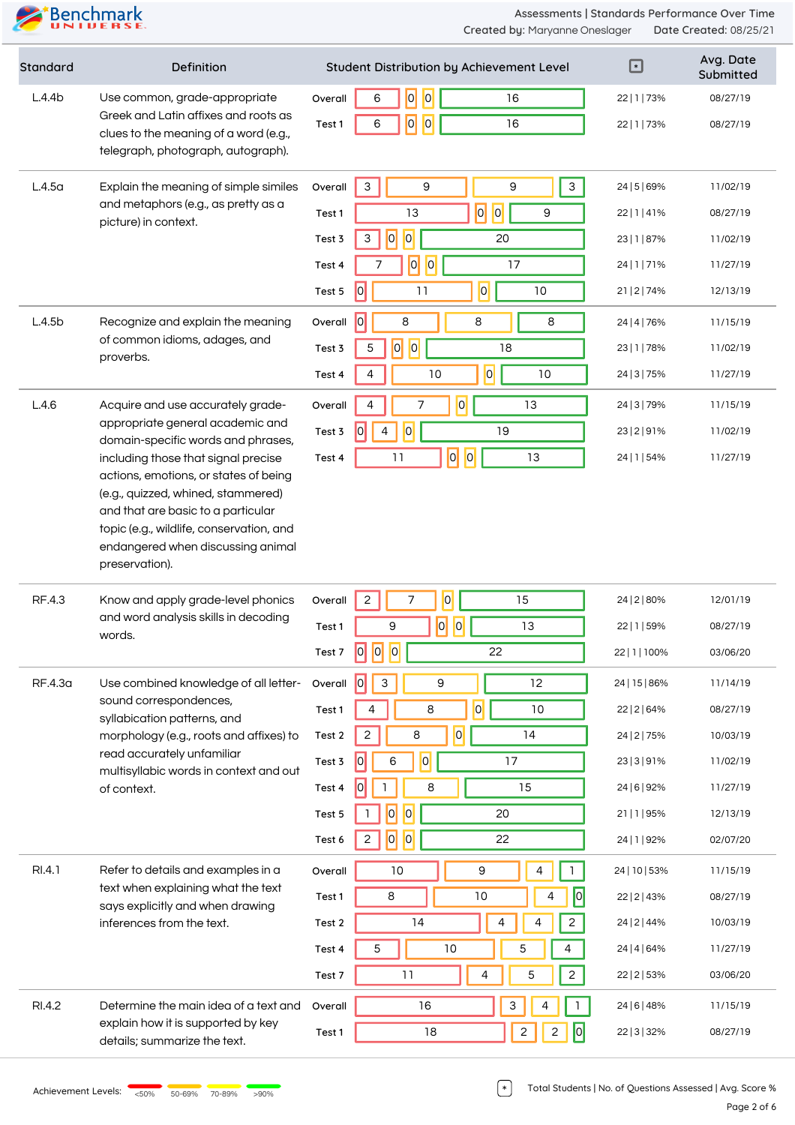| Standard           | <b>Definition</b>                                                                                                                                                                                                                | Student Distribution by Achievement Level              | $\boxdot$                      | Avg. Date<br>Submitted |
|--------------------|----------------------------------------------------------------------------------------------------------------------------------------------------------------------------------------------------------------------------------|--------------------------------------------------------|--------------------------------|------------------------|
| L.4.4b             | Use common, grade-appropriate<br>Greek and Latin affixes and roots as<br>clues to the meaning of a word (e.g.,<br>telegraph, photograph, autograph).                                                                             | 0 <br> 0 <br>6<br>16<br>Overall                        | 22   1   73%                   | 08/27/19               |
|                    |                                                                                                                                                                                                                                  | 0 <br> 0 <br>16<br>6<br>Test 1                         | 22   1   73%                   | 08/27/19               |
|                    |                                                                                                                                                                                                                                  |                                                        |                                |                        |
| L.4.5 <sub>a</sub> | Explain the meaning of simple similes<br>and metaphors (e.g., as pretty as a<br>picture) in context.                                                                                                                             | 9<br>9<br>3<br>Overall                                 | $\mathsf{3}$<br>24   5   69%   | 11/02/19               |
|                    |                                                                                                                                                                                                                                  | $\overline{\mathsf{D}}$<br> 0 <br>13<br>9<br>Test 1    | 22   1   41%                   | 08/27/19               |
|                    |                                                                                                                                                                                                                                  | 0 <br> 0 <br>3<br>20<br>Test 3                         | 23   1   87%                   | 11/02/19               |
|                    |                                                                                                                                                                                                                                  | 0 <br> 0 <br>17<br>Test 4                              | 24   1   71%                   | 11/27/19               |
|                    |                                                                                                                                                                                                                                  | $\overline{a}$<br> 0 <br>11<br>10<br>Test 5            | 21   2   74%                   | 12/13/19               |
| L.4.5b             | Recognize and explain the meaning                                                                                                                                                                                                | $\overline{0}$<br>8<br>8<br>8<br>Overall               | 24   4   76%                   | 11/15/19               |
|                    | of common idioms, adages, and<br>proverbs.                                                                                                                                                                                       | $\overline{0}$<br> 0 <br>18<br>5<br>Test 3             | 23   1   78%                   | 11/02/19               |
|                    |                                                                                                                                                                                                                                  | $\overline{0}$<br>10<br>10<br>4<br>Test 4              | 24   3   75%                   | 11/27/19               |
| L.4.6              | Acquire and use accurately grade-<br>appropriate general academic and<br>domain-specific words and phrases,                                                                                                                      | $\overline{0}$<br>7<br>$\overline{4}$<br>13<br>Overall | 24   3   79%                   | 11/15/19               |
|                    |                                                                                                                                                                                                                                  | 0 <br>19<br> 0 <br>$\overline{4}$<br>Test 3            | 23   2   9 1%                  | 11/02/19               |
|                    | including those that signal precise<br>actions, emotions, or states of being                                                                                                                                                     | $ \overline{0} $<br> 0 <br>13<br>11<br>Test 4          | 24   1   54%                   | 11/27/19               |
|                    | (e.g., quizzed, whined, stammered)<br>and that are basic to a particular<br>topic (e.g., wildlife, conservation, and<br>endangered when discussing animal<br>preservation).                                                      |                                                        |                                |                        |
| RF.4.3             | Know and apply grade-level phonics                                                                                                                                                                                               | 0 <br>$\overline{c}$<br>7<br>15<br>Overall             | 24   2   80%                   | 12/01/19               |
|                    | and word analysis skills in decoding<br>words.                                                                                                                                                                                   | 0 <br> 0 <br>9<br>13<br>Test 1                         | 22   1   59%                   | 08/27/19               |
|                    |                                                                                                                                                                                                                                  | 0 <br> 0 <br> 0 <br>22<br>Test 7                       | 22   1   100%                  | 03/06/20               |
| RF.4.3a            | Use combined knowledge of all letter-<br>sound correspondences,<br>syllabication patterns, and<br>morphology (e.g., roots and affixes) to<br>read accurately unfamiliar<br>multisyllabic words in context and out<br>of context. | 0 <br>$\mathbf{3}$<br>9<br>12<br>Overall               | 24   15   86%                  | 11/14/19               |
|                    |                                                                                                                                                                                                                                  | 0 <br>8<br>10<br>Test 1<br>4                           | 22   2   64%                   | 08/27/19               |
|                    |                                                                                                                                                                                                                                  | $\overline{0}$<br>8<br>14<br>$\sqrt{2}$<br>Test 2      | 24   2   75%                   | 10/03/19               |
|                    |                                                                                                                                                                                                                                  | $\overline{O}$<br> 0 <br>17<br>6<br>Test 3             | 23   3   9 1%                  | 11/02/19               |
|                    |                                                                                                                                                                                                                                  | 8<br>15<br>Test 4<br>0                                 | 24   6   92%                   | 11/27/19               |
|                    |                                                                                                                                                                                                                                  | 0 <br> 0 <br>20<br>Test 5                              | 21 1 95%                       | 12/13/19               |
|                    |                                                                                                                                                                                                                                  | 0 <br> 0 <br>$\overline{c}$<br>22<br>Test 6            | 24   1   92%                   | 02/07/20               |
| RI.4.1             | Refer to details and examples in a<br>text when explaining what the text<br>says explicitly and when drawing<br>inferences from the text.                                                                                        | $10$<br>9<br>4<br>Overall                              | 24   10   53%                  | 11/15/19               |
|                    |                                                                                                                                                                                                                                  | 8<br>10<br>Test 1                                      | 22   2   43%                   | 08/27/19               |
|                    |                                                                                                                                                                                                                                  | 14<br>$\overline{4}$<br>4<br>Test 2                    | $\mathbf{2}$<br>24   2   44%   | 10/03/19               |
|                    |                                                                                                                                                                                                                                  | 5<br>10<br>5<br>4<br>Test 4                            | 24   4   64%                   | 11/27/19               |
|                    |                                                                                                                                                                                                                                  | 5<br>11<br>4<br>Test 7                                 | $\overline{c}$<br>22   2   53% | 03/06/20               |
| RI.4.2             | Determine the main idea of a text and<br>explain how it is supported by key<br>details; summarize the text.                                                                                                                      | $\ensuremath{\mathsf{3}}$<br>16<br>Overall<br>4        | 24   6   48%                   | 11/15/19               |
|                    |                                                                                                                                                                                                                                  | $\overline{c}$<br>18<br>$\mathbf{2}$<br>Test 1         | 0 <br>22   3   32%             | 08/27/19               |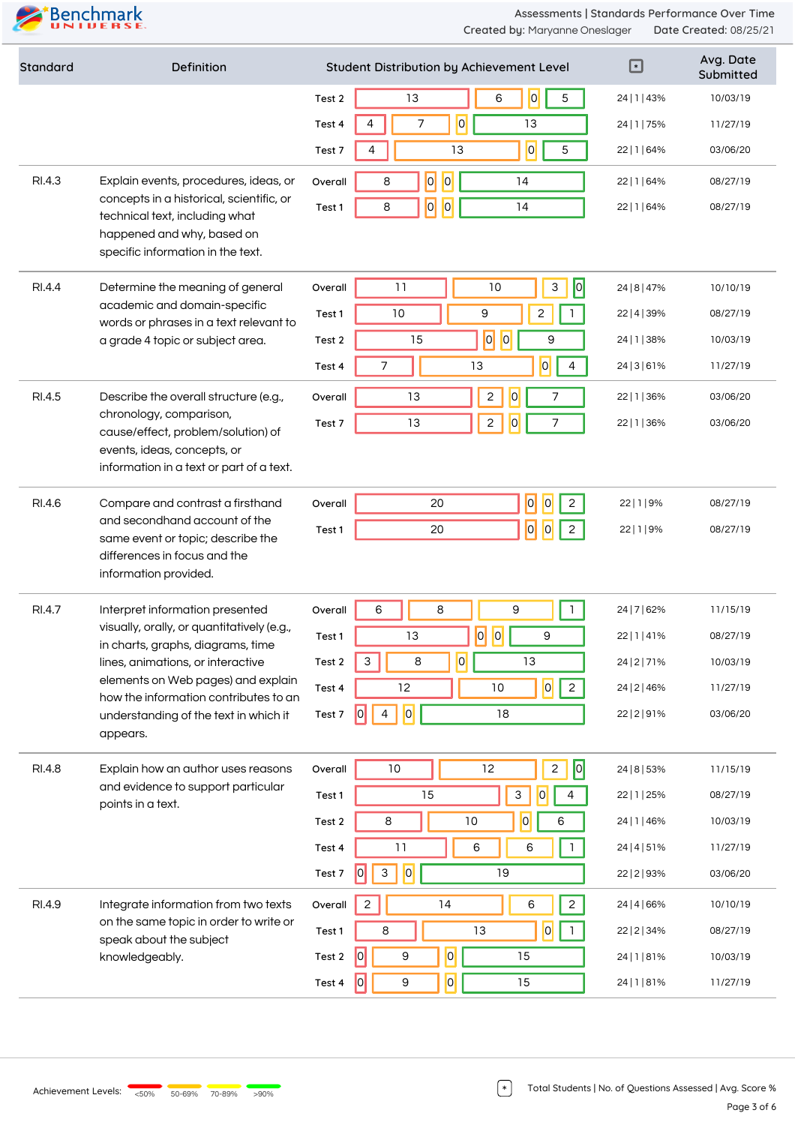| Standard | Definition                                                                                                                                                                                                                                                                                  | ⊡<br>Student Distribution by Achievement Level                                   | Avg. Date<br>Submitted |
|----------|---------------------------------------------------------------------------------------------------------------------------------------------------------------------------------------------------------------------------------------------------------------------------------------------|----------------------------------------------------------------------------------|------------------------|
|          |                                                                                                                                                                                                                                                                                             | $\overline{0}$<br>5<br>13<br>6<br>24   1   43%<br>Test 2                         | 10/03/19               |
|          |                                                                                                                                                                                                                                                                                             | $\vert 0 \vert$<br>7<br>13<br>Test 4<br>24   1   75%                             | 11/27/19               |
|          |                                                                                                                                                                                                                                                                                             | $\overline{0}$<br>5<br>13<br>22   1   64%<br>Test 7<br>4                         | 03/06/20               |
| RI.4.3   | Explain events, procedures, ideas, or<br>concepts in a historical, scientific, or<br>technical text, including what<br>happened and why, based on<br>specific information in the text.                                                                                                      | $\overline{0}$<br> 0 <br>8<br>14<br>Overall<br>22   1   64%                      | 08/27/19               |
|          |                                                                                                                                                                                                                                                                                             | $\overline{0}$<br> 0 <br>14<br>8<br>Test 1<br>22   1   64%                       | 08/27/19               |
|          |                                                                                                                                                                                                                                                                                             |                                                                                  |                        |
| RI.4.4   | Determine the meaning of general                                                                                                                                                                                                                                                            | 0 <br>$\mathsf{3}$<br>11<br>10<br>Overall<br>24   8   47%                        | 10/10/19               |
|          | academic and domain-specific                                                                                                                                                                                                                                                                | 9<br>$10$<br>2<br>$\mathbf{1}$<br>Test 1<br>22   4   39%                         | 08/27/19               |
|          | words or phrases in a text relevant to<br>a grade 4 topic or subject area.                                                                                                                                                                                                                  | $\overline{0}$<br>$ \overline{0} $<br>15<br>9<br>24   1   38%<br>Test 2          | 10/03/19               |
|          |                                                                                                                                                                                                                                                                                             | 0 <br>7<br>13<br>4<br>24   3   6 1%<br>Test 4                                    | 11/27/19               |
| RI.4.5   | Describe the overall structure (e.g.,                                                                                                                                                                                                                                                       | $\mathsf{S}$<br>$\overline{0}$<br>13<br>7<br>Overall<br>22   1   36%             | 03/06/20               |
|          | chronology, comparison,<br>cause/effect, problem/solution) of                                                                                                                                                                                                                               | $\overline{c}$<br>13<br>7<br>$\overline{0}$<br>22   1   36%<br>Test 7            | 03/06/20               |
|          | events, ideas, concepts, or<br>information in a text or part of a text.                                                                                                                                                                                                                     |                                                                                  |                        |
| RI.4.6   | Compare and contrast a firsthand<br>and secondhand account of the<br>same event or topic; describe the<br>differences in focus and the                                                                                                                                                      | $\overline{0}$<br>$\vert 0 \vert$<br>$\mathbf{2}$<br>20<br>Overall<br>22 1 9%    | 08/27/19               |
|          |                                                                                                                                                                                                                                                                                             | 0 <br>$\vert 0 \vert$<br>$\mathbf{2}$<br>20<br>22 1 9%<br>Test 1                 | 08/27/19               |
|          |                                                                                                                                                                                                                                                                                             |                                                                                  |                        |
|          | information provided.                                                                                                                                                                                                                                                                       |                                                                                  |                        |
| RI.4.7   | Interpret information presented<br>visually, orally, or quantitatively (e.g.,<br>in charts, graphs, diagrams, time<br>lines, animations, or interactive<br>elements on Web pages) and explain<br>how the information contributes to an<br>understanding of the text in which it<br>appears. | $\mathbf{1}$<br>6<br>8<br>9<br>Overall<br>24   7   62%                           | 11/15/19               |
|          |                                                                                                                                                                                                                                                                                             | $\overline{0}$<br> 0 <br>13<br>9<br>22   1   41%<br>Test 1                       | 08/27/19               |
|          |                                                                                                                                                                                                                                                                                             | $\overline{0}$<br>$\mathsf{3}$<br>8<br>13<br>24   2   7 1%<br>Test 2             | 10/03/19               |
|          |                                                                                                                                                                                                                                                                                             | 0 <br>$\overline{a}$<br>12<br>10<br>Test 4<br>24   2   46%                       | 11/27/19               |
|          |                                                                                                                                                                                                                                                                                             | 0 <br> 0 <br>18<br>$\overline{4}$<br>Test 7<br>22   2   9 1%                     | 03/06/20               |
|          | Explain how an author uses reasons<br>and evidence to support particular<br>points in a text.                                                                                                                                                                                               |                                                                                  |                        |
| RI.4.8   |                                                                                                                                                                                                                                                                                             | 0 <br>$\mathsf{2}\,$<br>12<br>$10$<br>24   8   53%<br>Overall                    | 11/15/19               |
|          |                                                                                                                                                                                                                                                                                             | 15<br>$\ensuremath{\mathsf{3}}$<br>$\overline{0}$<br>Test 1<br>4<br>22   1   25% | 08/27/19               |
|          |                                                                                                                                                                                                                                                                                             | 0 <br>10<br>8<br>6<br>Test 2<br>24   1   46%                                     | 10/03/19               |
|          |                                                                                                                                                                                                                                                                                             | 11<br>6<br>6<br>24   4   5 1%<br>Test 4                                          | 11/27/19               |
|          |                                                                                                                                                                                                                                                                                             | 0 <br>$\mathsf 3$<br> 0 <br>19<br>Test 7<br>22   2   93%                         | 03/06/20               |
| RI.4.9   | Integrate information from two texts<br>on the same topic in order to write or<br>speak about the subject<br>knowledgeably.                                                                                                                                                                 | $\overline{c}$<br>$\overline{c}$<br>14<br>6<br>Overall<br>24 4 66%               | 10/10/19               |
|          |                                                                                                                                                                                                                                                                                             | 0 <br>8<br>13<br>$\overline{1}$<br>Test 1<br>22   2   34%                        | 08/27/19               |
|          |                                                                                                                                                                                                                                                                                             | $\overline{0}$<br> 0 <br>9<br>15<br>Test 2<br>24   1   81%                       | 10/03/19               |
|          |                                                                                                                                                                                                                                                                                             | $\overline{O}$<br> 0 <br>9<br>15<br>24   1   8 1%<br>Test 4                      | 11/27/19               |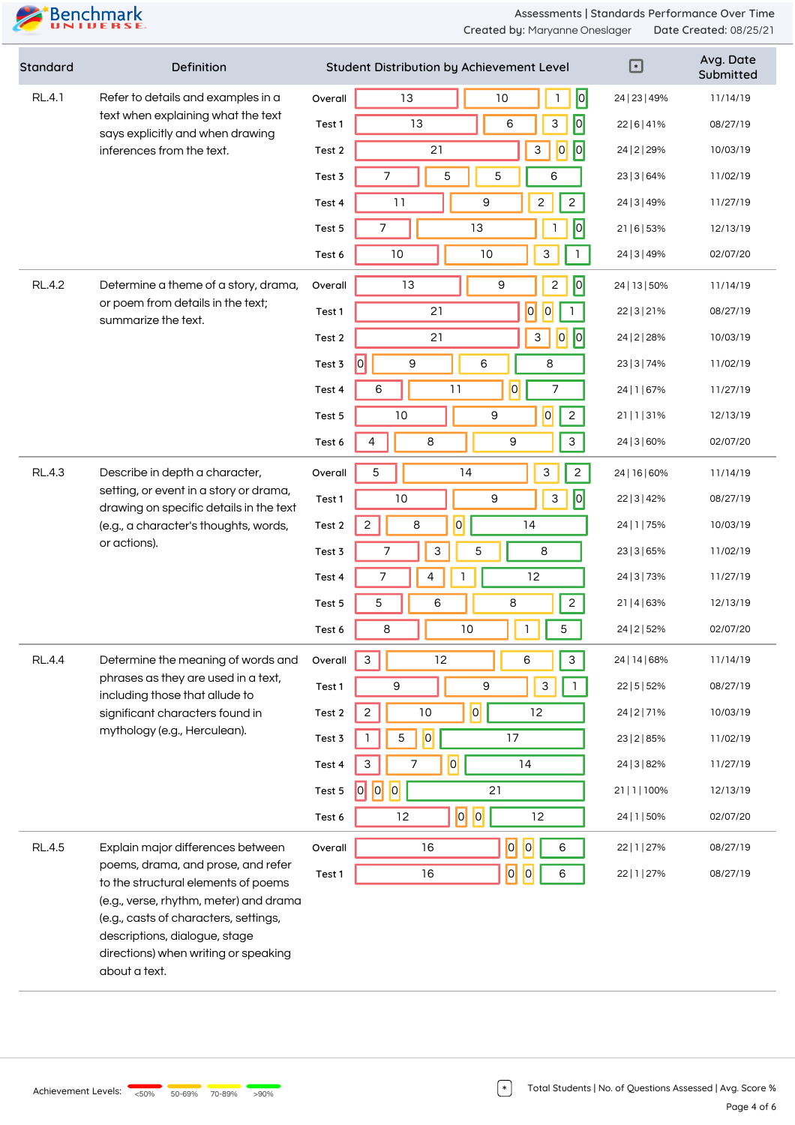| Standard      | Definition                                                                                                                                                                     |         | Student Distribution by Achievement Level     | ⊡             | Avg. Date<br>Submitted |
|---------------|--------------------------------------------------------------------------------------------------------------------------------------------------------------------------------|---------|-----------------------------------------------|---------------|------------------------|
| <b>RL.4.1</b> | Refer to details and examples in a<br>text when explaining what the text<br>says explicitly and when drawing<br>inferences from the text.                                      | Overall | 0 <br>13<br>$10$<br>1                         | 24   23   49% | 11/14/19               |
|               |                                                                                                                                                                                | Test 1  | 0 <br>13<br>6<br>3                            | 22   6   4 1% | 08/27/19               |
|               |                                                                                                                                                                                | Test 2  | 0 <br>21<br> 0 <br>3                          | 24   2   29%  | 10/03/19               |
|               |                                                                                                                                                                                | Test 3  | 5<br>5<br>6<br>7                              | 23   3   64%  | 11/02/19               |
|               |                                                                                                                                                                                | Test 4  | 9<br>$\mathbf{2}$<br>$\overline{c}$<br>11     | 24   3   49%  | 11/27/19               |
|               |                                                                                                                                                                                | Test 5  | 0 <br>13<br>7                                 | 21   6   53%  | 12/13/19               |
|               |                                                                                                                                                                                | Test 6  | 10<br>10<br>3                                 | 24   3   49%  | 02/07/20               |
| <b>RL.4.2</b> | Determine a theme of a story, drama,                                                                                                                                           | Overall | 0 <br>9<br>$\mathbf{2}$<br>13                 | 24   13   50% | 11/14/19               |
|               | or poem from details in the text;<br>summarize the text.                                                                                                                       | Test 1  | $\overline{0}$<br>$\vert 0 \vert$<br>21       | 22   3   21%  | 08/27/19               |
|               |                                                                                                                                                                                | Test 2  | $\sqrt{2}$<br> 0 <br>21<br>$\mathsf 3$        | 24   2   28%  | 10/03/19               |
|               |                                                                                                                                                                                | Test 3  | 0 <br>$\mathsf 9$<br>6<br>8                   | 23   3   74%  | 11/02/19               |
|               |                                                                                                                                                                                | Test 4  | $\overline{0}$<br>6<br>7<br>11                | 24   1   67%  | 11/27/19               |
|               |                                                                                                                                                                                | Test 5  | $\overline{c}$<br> 0 <br>9<br>10              | 21 1 31%      | 12/13/19               |
|               |                                                                                                                                                                                | Test 6  | 8<br>$\mathbf{3}$<br>4<br>9                   | 24   3   60%  | 02/07/20               |
| <b>RL.4.3</b> | Describe in depth a character,<br>setting, or event in a story or drama,<br>drawing on specific details in the text<br>(e.g., a character's thoughts, words,<br>or actions).   | Overall | 5<br>3<br>$\overline{c}$<br>14                | 24   16   60% | 11/14/19               |
|               |                                                                                                                                                                                | Test 1  | $\overline{0}$<br>10<br>9<br>3                | 22   3   42%  | 08/27/19               |
|               |                                                                                                                                                                                | Test 2  | 0 <br>$\overline{c}$<br>8<br>14               | 24   1   75%  | 10/03/19               |
|               |                                                                                                                                                                                | Test 3  | 3<br>8<br>7<br>5                              | 23   3   65%  | 11/02/19               |
|               |                                                                                                                                                                                | Test 4  | 12<br>7<br>4                                  | 24   3   73%  | 11/27/19               |
|               |                                                                                                                                                                                | Test 5  | $\overline{c}$<br>5<br>6<br>8                 | 21 4 63%      | 12/13/19               |
|               |                                                                                                                                                                                | Test 6  | 10<br>5<br>8<br>1                             | 24   2   52%  | 02/07/20               |
| <b>RL.4.4</b> | Determine the meaning of words and<br>phrases as they are used in a text,<br>including those that allude to<br>significant characters found in<br>mythology (e.g., Herculean). | Overall | 12<br>3<br>3<br>6                             | 24   14   68% | 11/14/19               |
|               |                                                                                                                                                                                | Test 1  | $\mathsf 9$<br>9<br>$\ensuremath{\mathsf{3}}$ | 22   5   52%  | 08/27/19               |
|               |                                                                                                                                                                                | Test 2  | 0 <br>$\mathbf{2}$<br>10<br>12                | 24   2   7 1% | 10/03/19               |
|               |                                                                                                                                                                                | Test 3  | 0 <br>17<br>5                                 | 23   2   85%  | 11/02/19               |
|               |                                                                                                                                                                                | Test 4  | 0 <br>3<br>7<br>14                            | 24   3   82%  | 11/27/19               |
|               |                                                                                                                                                                                | Test 5  | 0 <br> 0 <br> 0 <br>21                        | 21   1   100% | 12/13/19               |
|               |                                                                                                                                                                                | Test 6  | $ 0 $ $ 0 $<br>12<br>12                       | 24   1   50%  | 02/07/20               |
| <b>RL.4.5</b> | Explain major differences between                                                                                                                                              | Overall | $\overline{a}$<br> 0 <br>16<br>6              | 22   1   27%  | 08/27/19               |
|               | poems, drama, and prose, and refer<br>to the structural elements of poems                                                                                                      | Test 1  | $\overline{0}$<br>$\overline{0}$<br>16<br>6   | 22   1   27%  | 08/27/19               |
|               | (e.g., verse, rhythm, meter) and drama<br>(e.g., casts of characters, settings,<br>descriptions, dialogue, stage<br>directions) when writing or speaking                       |         |                                               |               |                        |

about a text.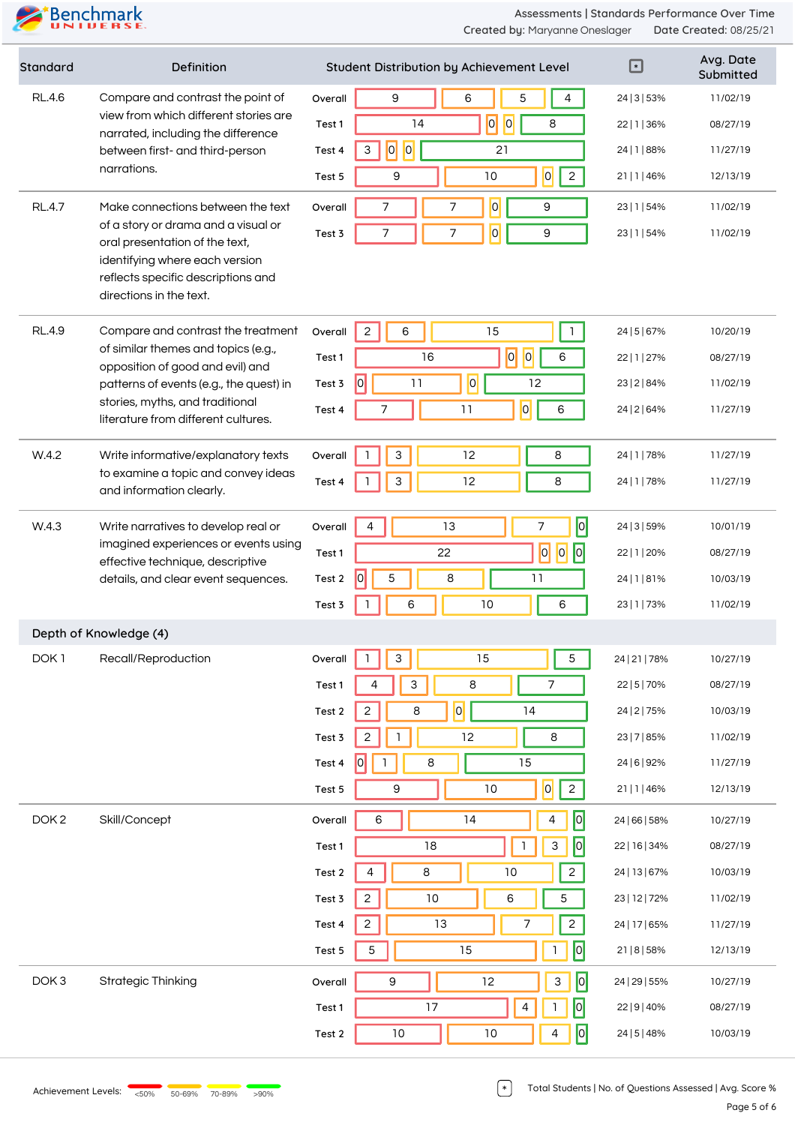**Assessments | Standards Performance Over Time Created by:** Maryanne Oneslager **Date Created:** 08/25/21

| Standard         | Definition                                                                                                                                                               |         | Student Distribution by Achievement Level             | ⊡             | Avg. Date<br>Submitted |
|------------------|--------------------------------------------------------------------------------------------------------------------------------------------------------------------------|---------|-------------------------------------------------------|---------------|------------------------|
| <b>RL.4.6</b>    | Compare and contrast the point of<br>view from which different stories are<br>narrated, including the difference<br>between first- and third-person                      | Overall | 6<br>5<br>4<br>9                                      | 24   3   53%  | 11/02/19               |
|                  |                                                                                                                                                                          | Test 1  | $\sqrt{6}$<br> 0 <br>14<br>8                          | 22   1   36%  | 08/27/19               |
| narrations.      |                                                                                                                                                                          | Test 4  | 0 <br> 0 <br>21<br>3                                  | 24   1   88%  | 11/27/19               |
|                  |                                                                                                                                                                          | Test 5  | $\overline{2}$<br> 0 <br>9<br>10                      | 21 1 46%      | 12/13/19               |
| <b>RL.4.7</b>    | Make connections between the text                                                                                                                                        | Overall | $\overline{0}$<br>$\overline{7}$<br>7<br>9            | 23   1   54%  | 11/02/19               |
|                  | of a story or drama and a visual or<br>oral presentation of the text,<br>identifying where each version<br>reflects specific descriptions and<br>directions in the text. | Test 3  | $\overline{7}$<br>$\overline{0}$<br>7<br>9            | 23   1   54%  | 11/02/19               |
|                  |                                                                                                                                                                          |         |                                                       |               |                        |
| <b>RL.4.9</b>    | Compare and contrast the treatment                                                                                                                                       | Overall | 15<br>2<br>6<br>$\mathbf{1}$                          | 24   5   67%  | 10/20/19               |
|                  | of similar themes and topics (e.g.,<br>opposition of good and evil) and                                                                                                  | Test 1  | $\overline{0}$<br> 0 <br>6<br>16                      | 22   1   27%  | 08/27/19               |
|                  | patterns of events (e.g., the quest) in                                                                                                                                  | Test 3  | $\overline{0}$<br> 0 <br>11<br>12                     | 23   2   84%  | 11/02/19               |
|                  | stories, myths, and traditional<br>literature from different cultures.                                                                                                   | Test 4  | 0 <br>7<br>11<br>6                                    | 24   2   64%  | 11/27/19               |
| W.4.2            | Write informative/explanatory texts                                                                                                                                      | Overall | $\ensuremath{\mathsf{3}}$<br>12<br>8                  | 24   1   78%  | 11/27/19               |
|                  | to examine a topic and convey ideas<br>and information clearly.                                                                                                          | Test 4  | $\mathfrak{Z}$<br>12<br>8                             | 24   1   78%  | 11/27/19               |
| W.4.3            | Write narratives to develop real or                                                                                                                                      | Overall | $\overline{a}$<br>$\boldsymbol{7}$<br>13<br>4         | 24   3   59%  | 10/01/19               |
|                  | imagined experiences or events using<br>effective technique, descriptive<br>details, and clear event sequences.                                                          | Test 1  | $\overline{0}$<br> 0 <br> 0 <br>22                    | 22   1   20%  | 08/27/19               |
|                  |                                                                                                                                                                          | Test 2  | $\hat{10}$<br>5<br>8<br>11                            | 24   1   81%  | 10/03/19               |
|                  |                                                                                                                                                                          | Test 3  | 10<br>6<br>6                                          | 23   1   73%  | 11/02/19               |
|                  | Depth of Knowledge (4)                                                                                                                                                   |         |                                                       |               |                        |
| DOK <sub>1</sub> | Recall/Reproduction                                                                                                                                                      | Overall | $\mathsf{3}$<br>15<br>$\mathbf 5$<br>$\mathbf{1}$     | 24   21   78% | 10/27/19               |
|                  |                                                                                                                                                                          | Test 1  | $\overline{7}$<br>$\ensuremath{\mathsf{3}}$<br>8<br>4 | 22   5   70%  | 08/27/19               |
|                  |                                                                                                                                                                          | Test 2  | 0 <br>$\overline{c}$<br>8<br>14                       | 24   2   75%  | 10/03/19               |
|                  |                                                                                                                                                                          | Test 3  | 12<br>$\overline{c}$<br>8<br>1                        | 23   7   85%  | 11/02/19               |
|                  |                                                                                                                                                                          | Test 4  | 0 <br>15<br>8<br>L                                    | 24   6   92%  | 11/27/19               |
|                  |                                                                                                                                                                          | Test 5  | $\overline{0}$<br>$\overline{c}$<br>9<br>$10$         | 21   1   46%  | 12/13/19               |
| DOK <sub>2</sub> | Skill/Concept                                                                                                                                                            | Overall | 0 <br>6<br>14<br>4                                    | 24   66   58% | 10/27/19               |
|                  |                                                                                                                                                                          | Test 1  | 0 <br>$\mathbf{1}$<br>3<br>18                         | 22   16   34% | 08/27/19               |
|                  |                                                                                                                                                                          | Test 2  | $\,8\,$<br>$\overline{a}$<br>$\overline{4}$<br>$10$   | 24   13   67% | 10/03/19               |
|                  |                                                                                                                                                                          | Test 3  | $\overline{c}$<br>10<br>$\mathbf 5$<br>6              | 23   12   72% | 11/02/19               |
|                  |                                                                                                                                                                          | Test 4  | $\overline{c}$<br>13<br>7<br>$\overline{c}$           | 24   17   65% | 11/27/19               |
|                  |                                                                                                                                                                          | Test 5  | 0 <br>5<br>15<br>1                                    | 21   8   58%  | 12/13/19               |
| DOK <sub>3</sub> | <b>Strategic Thinking</b>                                                                                                                                                | Overall | $\boxed{0}$<br>12<br>$\mathsf 3$<br>9                 | 24   29   55% | 10/27/19               |
|                  |                                                                                                                                                                          | Test 1  | 0 <br>17<br>$\overline{4}$                            | 22   9   40%  | 08/27/19               |
|                  |                                                                                                                                                                          | Test 2  | $\sqrt{2}$<br>$10$<br>$10$<br>4                       | 24   5   48%  | 10/03/19               |